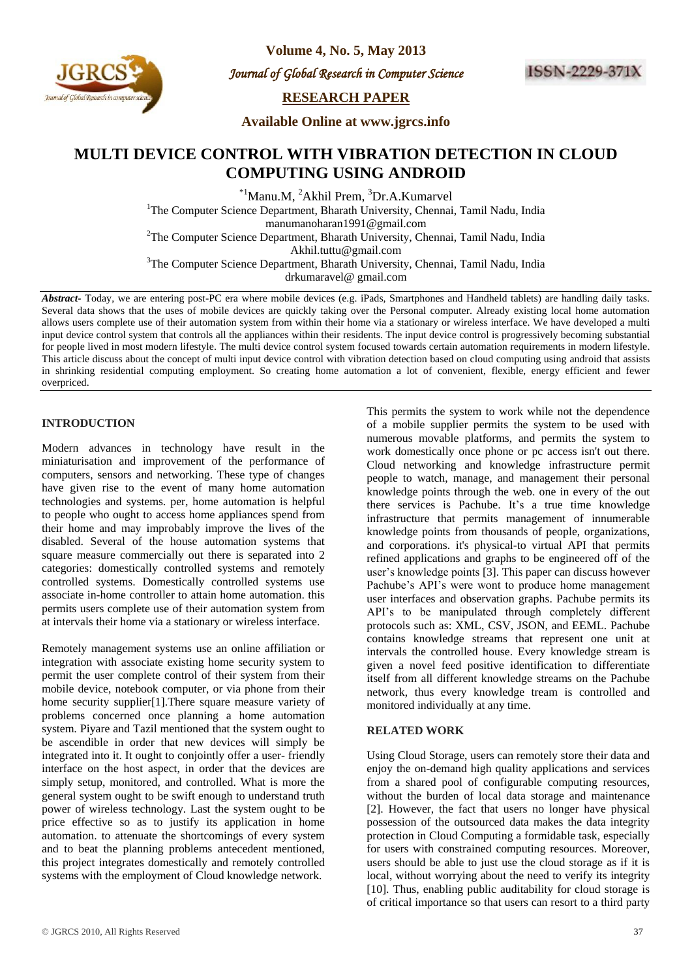

**Volume 4, No. 5, May 2013**

*Journal of Global Research in Computer Science* 



**RESEARCH PAPER**

**Available Online at www.jgrcs.info**

# **MULTI DEVICE CONTROL WITH VIBRATION DETECTION IN CLOUD COMPUTING USING ANDROID**

\*1Manu.M, <sup>2</sup>Akhil Prem, <sup>3</sup>Dr.A.Kumarvel <sup>1</sup>The Computer Science Department, Bharath University, Chennai, Tamil Nadu, India manumanoharan1991@gmail.com <sup>2</sup>The Computer Science Department, Bharath University, Chennai, Tamil Nadu, India Akhil.tuttu@gmail.com <sup>3</sup>The Computer Science Department, Bharath University, Chennai, Tamil Nadu, India drkumaravel@ gmail.com

*Abstract-* Today, we are entering post-PC era where mobile devices (e.g. iPads, Smartphones and Handheld tablets) are handling daily tasks. Several data shows that the uses of mobile devices are quickly taking over the Personal computer. Already existing local home automation allows users complete use of their automation system from within their home via a stationary or wireless interface. We have developed a multi input device control system that controls all the appliances within their residents. The input device control is progressively becoming substantial for people lived in most modern lifestyle. The multi device control system focused towards certain automation requirements in modern lifestyle. This article discuss about the concept of multi input device control with vibration detection based on cloud computing using android that assists in shrinking residential computing employment. So creating home automation a lot of convenient, flexible, energy efficient and fewer overpriced.

# **INTRODUCTION**

Modern advances in technology have result in the miniaturisation and improvement of the performance of computers, sensors and networking. These type of changes have given rise to the event of many home automation technologies and systems. per, home automation is helpful to people who ought to access home appliances spend from their home and may improbably improve the lives of the disabled. Several of the house automation systems that square measure commercially out there is separated into 2 categories: domestically controlled systems and remotely controlled systems. Domestically controlled systems use associate in-home controller to attain home automation. this permits users complete use of their automation system from at intervals their home via a stationary or wireless interface.

Remotely management systems use an online affiliation or integration with associate existing home security system to permit the user complete control of their system from their mobile device, notebook computer, or via phone from their home security supplier[1].There square measure variety of problems concerned once planning a home automation system. Piyare and Tazil mentioned that the system ought to be ascendible in order that new devices will simply be integrated into it. It ought to conjointly offer a user- friendly interface on the host aspect, in order that the devices are simply setup, monitored, and controlled. What is more the general system ought to be swift enough to understand truth power of wireless technology. Last the system ought to be price effective so as to justify its application in home automation. to attenuate the shortcomings of every system and to beat the planning problems antecedent mentioned, this project integrates domestically and remotely controlled systems with the employment of Cloud knowledge network.

of a mobile supplier permits the system to be used with numerous movable platforms, and permits the system to work domestically once phone or pc access isn't out there. Cloud networking and knowledge infrastructure permit people to watch, manage, and management their personal knowledge points through the web. one in every of the out there services is Pachube. It's a true time knowledge infrastructure that permits management of innumerable knowledge points from thousands of people, organizations, and corporations. it's physical-to virtual API that permits refined applications and graphs to be engineered off of the user"s knowledge points [3]. This paper can discuss however Pachube's API's were wont to produce home management user interfaces and observation graphs. Pachube permits its API"s to be manipulated through completely different protocols such as: XML, CSV, JSON, and EEML. Pachube contains knowledge streams that represent one unit at intervals the controlled house. Every knowledge stream is given a novel feed positive identification to differentiate itself from all different knowledge streams on the Pachube network, thus every knowledge tream is controlled and monitored individually at any time.

This permits the system to work while not the dependence

# **RELATED WORK**

Using Cloud Storage, users can remotely store their data and enjoy the on-demand high quality applications and services from a shared pool of configurable computing resources, without the burden of local data storage and maintenance [2]. However, the fact that users no longer have physical possession of the outsourced data makes the data integrity protection in Cloud Computing a formidable task, especially for users with constrained computing resources. Moreover, users should be able to just use the cloud storage as if it is local, without worrying about the need to verify its integrity [10]. Thus, enabling public auditability for cloud storage is of critical importance so that users can resort to a third party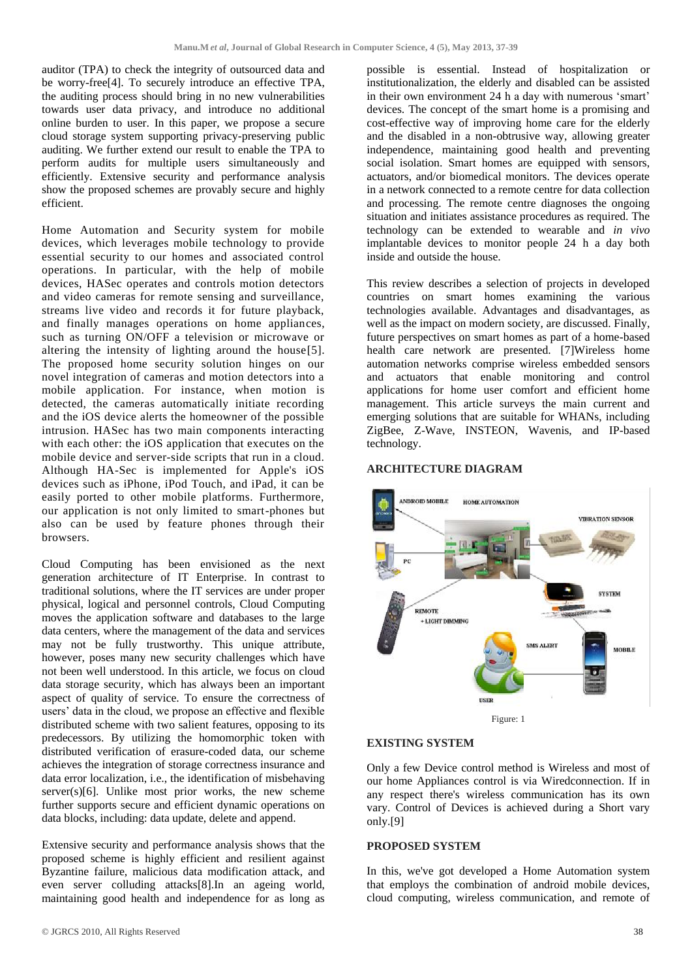auditor (TPA) to check the integrity of outsourced data and be worry-free[4]. To securely introduce an effective TPA, the auditing process should bring in no new vulnerabilities towards user data privacy, and introduce no additional online burden to user. In this paper, we propose a secure cloud storage system supporting privacy-preserving public auditing. We further extend our result to enable the TPA to perform audits for multiple users simultaneously and efficiently. Extensive security and performance analysis show the proposed schemes are provably secure and highly efficient.

Home Automation and Security system for mobile devices, which leverages mobile technology to provide essential security to our homes and associated control operations. In particular, with the help of mobile devices, HASec operates and controls motion detectors and video cameras for remote sensing and surveillance, streams live video and records it for future playback, and finally manages operations on home appliances, such as turning ON/OFF a television or microwave or altering the intensity of lighting around the house[5]. The proposed home security solution hinges on our novel integration of cameras and motion detectors into a mobile application. For instance, when motion is detected, the cameras automatically initiate recording and the iOS device alerts the homeowner of the possible intrusion. HASec has two main components interacting with each other: the iOS application that executes on the mobile device and server-side scripts that run in a cloud. Although HA-Sec is implemented for Apple's iOS devices such as iPhone, iPod Touch, and iPad, it can be easily ported to other mobile platforms. Furthermore, our application is not only limited to smart-phones but also can be used by feature phones through their browsers.

Cloud Computing has been envisioned as the next generation architecture of IT Enterprise. In contrast to traditional solutions, where the IT services are under proper physical, logical and personnel controls, Cloud Computing moves the application software and databases to the large data centers, where the management of the data and services may not be fully trustworthy. This unique attribute, however, poses many new security challenges which have not been well understood. In this article, we focus on cloud data storage security, which has always been an important aspect of quality of service. To ensure the correctness of users" data in the cloud, we propose an effective and flexible distributed scheme with two salient features, opposing to its predecessors. By utilizing the homomorphic token with distributed verification of erasure-coded data, our scheme achieves the integration of storage correctness insurance and data error localization, i.e., the identification of misbehaving  $server(s)[6]$ . Unlike most prior works, the new scheme further supports secure and efficient dynamic operations on data blocks, including: data update, delete and append.

Extensive security and performance analysis shows that the proposed scheme is highly efficient and resilient against Byzantine failure, malicious data modification attack, and even server colluding attacks[8].In an ageing world, maintaining good health and independence for as long as

possible is essential. Instead of hospitalization or institutionalization, the elderly and disabled can be assisted in their own environment 24 h a day with numerous 'smart' devices. The concept of the smart home is a promising and cost-effective way of improving home care for the elderly and the disabled in a non-obtrusive way, allowing greater independence, maintaining good health and preventing social isolation. Smart homes are equipped with sensors, actuators, and/or biomedical monitors. The devices operate in a network connected to a remote centre for data collection and processing. The remote centre diagnoses the ongoing situation and initiates assistance procedures as required. The technology can be extended to wearable and *in vivo* implantable devices to monitor people 24 h a day both inside and outside the house.

This review describes a selection of projects in developed countries on smart homes examining the various technologies available. Advantages and disadvantages, as well as the impact on modern society, are discussed. Finally, future perspectives on smart homes as part of a home-based health care network are presented. [7]Wireless home automation networks comprise wireless embedded sensors and actuators that enable monitoring and control applications for home user comfort and efficient home management. This article surveys the main current and emerging solutions that are suitable for WHANs, including ZigBee, Z-Wave, INSTEON, Wavenis, and IP-based technology.

# **ARCHITECTURE DIAGRAM**



#### **EXISTING SYSTEM**

Only a few Device control method is Wireless and most of our home Appliances control is via Wiredconnection. If in any respect there's wireless communication has its own vary. Control of Devices is achieved during a Short vary only.[9]

# **PROPOSED SYSTEM**

In this, we've got developed a Home Automation system that employs the combination of android mobile devices, cloud computing, wireless communication, and remote of